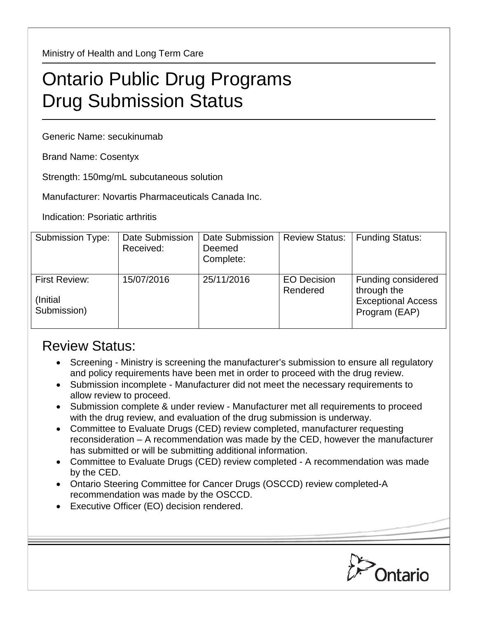Ministry of Health and Long Term Care

## Ontario Public Drug Programs Drug Submission Status

Generic Name: secukinumab

Brand Name: Cosentyx

Strength: 150mg/mL subcutaneous solution

Manufacturer: Novartis Pharmaceuticals Canada Inc.

Indication: Psoriatic arthritis

| <b>Submission Type:</b>                          | Date Submission<br>Received: | <b>Date Submission</b><br>Deemed<br>Complete: | <b>Review Status:</b>          | <b>Funding Status:</b>                                                          |
|--------------------------------------------------|------------------------------|-----------------------------------------------|--------------------------------|---------------------------------------------------------------------------------|
| <b>First Review:</b><br>(Initial)<br>Submission) | 15/07/2016                   | 25/11/2016                                    | <b>EO Decision</b><br>Rendered | Funding considered<br>through the<br><b>Exceptional Access</b><br>Program (EAP) |

## Review Status:

- Screening Ministry is screening the manufacturer's submission to ensure all regulatory and policy requirements have been met in order to proceed with the drug review.
- Submission incomplete Manufacturer did not meet the necessary requirements to allow review to proceed.
- Submission complete & under review Manufacturer met all requirements to proceed with the drug review, and evaluation of the drug submission is underway.
- Committee to Evaluate Drugs (CED) review completed, manufacturer requesting reconsideration – A recommendation was made by the CED, however the manufacturer has submitted or will be submitting additional information.
- Committee to Evaluate Drugs (CED) review completed A recommendation was made by the CED.
- Ontario Steering Committee for Cancer Drugs (OSCCD) review completed-A recommendation was made by the OSCCD.
- Executive Officer (EO) decision rendered.